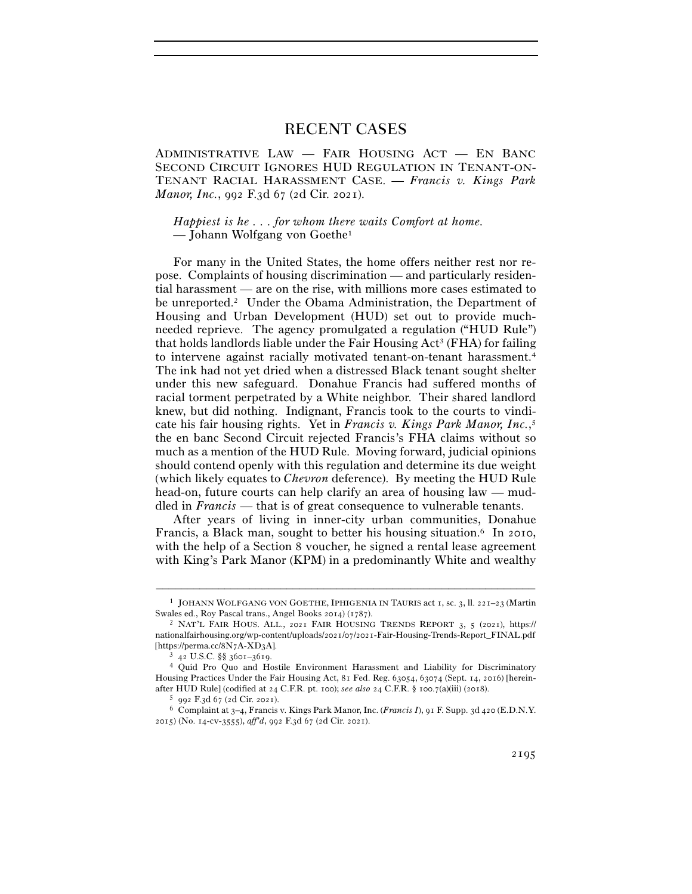# RECENT CASES

ADMINISTRATIVE LAW — FAIR HOUSING ACT — EN BANC SECOND CIRCUIT IGNORES HUD REGULATION IN TENANT-ON-TENANT RACIAL HARASSMENT CASE. — *Francis v. Kings Park Manor, Inc.*, 992 F.3d 67 (2d Cir. 2021).

*Happiest is he . . . for whom there waits Comfort at home.*  — Johann Wolfgang von Goethe1

For many in the United States, the home offers neither rest nor repose. Complaints of housing discrimination — and particularly residential harassment — are on the rise, with millions more cases estimated to be unreported.2 Under the Obama Administration, the Department of Housing and Urban Development (HUD) set out to provide muchneeded reprieve. The agency promulgated a regulation ("HUD Rule") that holds landlords liable under the Fair Housing  $Act^3$  (FHA) for failing to intervene against racially motivated tenant-on-tenant harassment.4 The ink had not yet dried when a distressed Black tenant sought shelter under this new safeguard. Donahue Francis had suffered months of racial torment perpetrated by a White neighbor. Their shared landlord knew, but did nothing. Indignant, Francis took to the courts to vindicate his fair housing rights. Yet in *Francis v. Kings Park Manor, Inc.*, 5 the en banc Second Circuit rejected Francis's FHA claims without so much as a mention of the HUD Rule. Moving forward, judicial opinions should contend openly with this regulation and determine its due weight (which likely equates to *Chevron* deference). By meeting the HUD Rule head-on, future courts can help clarify an area of housing law — muddled in *Francis* — that is of great consequence to vulnerable tenants.

After years of living in inner-city urban communities, Donahue Francis, a Black man, sought to better his housing situation.<sup>6</sup> In 2010, with the help of a Section 8 voucher, he signed a rental lease agreement with King's Park Manor (KPM) in a predominantly White and wealthy

<sup>–––––––––––––––––––––––––––––––––––––––––––––––––––––––––––––</sup> <sup>1</sup> JOHANN WOLFGANG VON GOETHE, IPHIGENIA IN TAURIS act 1, sc. 3, ll. 221–23 (Martin Swales ed., Roy Pascal trans., Angel Books 2014) (<sup>1787</sup>). 2 NAT'L FAIR HOUS. ALL., <sup>2021</sup> FAIR HOUSING TRENDS REPORT <sup>3</sup>, 5 (2021), https://

nationalfairhousing.org/wp-content/uploads/2021/07/2021-Fair-Housing-Trends-Report\_FINAL.pdf [https://perma.cc/8N7A-XD<sup>3</sup>A]. 3 <sup>42</sup> U.S.C. §§ 3601–<sup>3619</sup>. 4 Quid Pro Quo and Hostile Environment Harassment and Liability for Discriminatory

Housing Practices Under the Fair Housing Act, 81 Fed. Reg. 63054, 63074 (Sept. 14, 2016) [hereinafter HUD Rule] (codified at 24 C.F.R. pt. 100); see also 24 C.F.R. § 100.7(a)(iii) (2018).<br>5 992 F.3d 67 (2d Cir. 2021).<br>6 Complaint at 3–4, Francis v. Kings Park Manor, Inc. (*Francis I*), 91 F. Supp. 3d 420 (E.D.N.Y.

<sup>2015</sup>) (No. 14-cv-3555), *aff'd*, 992 F.3d 67 (2d Cir. 2021).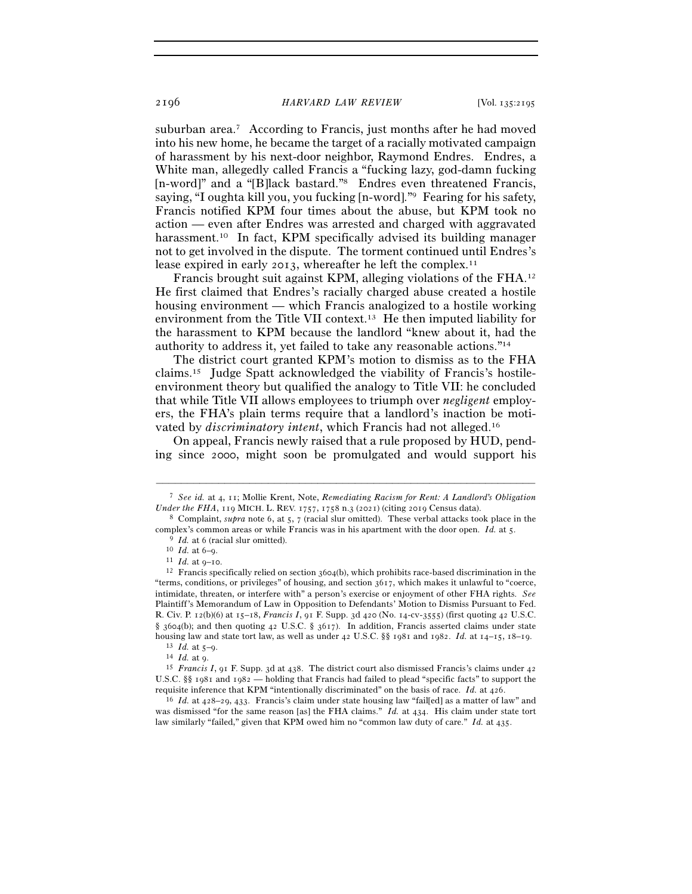suburban area.<sup>7</sup> According to Francis, just months after he had moved into his new home, he became the target of a racially motivated campaign of harassment by his next-door neighbor, Raymond Endres. Endres, a White man, allegedly called Francis a "fucking lazy, god-damn fucking [n-word]" and a "[B]lack bastard."<sup>8</sup> Endres even threatened Francis, saying, "I oughta kill you, you fucking [n-word]."9 Fearing for his safety, Francis notified KPM four times about the abuse, but KPM took no action — even after Endres was arrested and charged with aggravated harassment.<sup>10</sup> In fact, KPM specifically advised its building manager not to get involved in the dispute. The torment continued until Endres's lease expired in early 2013, whereafter he left the complex.<sup>11</sup>

Francis brought suit against KPM, alleging violations of the FHA.12 He first claimed that Endres's racially charged abuse created a hostile housing environment — which Francis analogized to a hostile working environment from the Title VII context.13 He then imputed liability for the harassment to KPM because the landlord "knew about it, had the authority to address it, yet failed to take any reasonable actions."14

The district court granted KPM's motion to dismiss as to the FHA claims.15 Judge Spatt acknowledged the viability of Francis's hostileenvironment theory but qualified the analogy to Title VII: he concluded that while Title VII allows employees to triumph over *negligent* employers, the FHA's plain terms require that a landlord's inaction be motivated by *discriminatory intent*, which Francis had not alleged.16

On appeal, Francis newly raised that a rule proposed by HUD, pending since 2000, might soon be promulgated and would support his

<sup>–––––––––––––––––––––––––––––––––––––––––––––––––––––––––––––</sup> <sup>7</sup> *See id.* at 4, 11; Mollie Krent, Note, *Remediating Racism for Rent: A Landlord's Obligation Under the FHA*, 119 MICH. L. REV. 1757, 1758 n.3 (2021) (citing 2019 Census data).<br><sup>8</sup> Complaint, *supra* note 6, at 5, 7 (racial slur omitted). These verbal attacks took place in the

<sup>%</sup> common areas or while Francis was in his apartment with the door open. *Id.* at 5.<br><sup>9</sup> *Id.* at 6 (racial slur omitted).<br><sup>10</sup> *Id.* at 6–9.<br><sup>11</sup> *Id.* at 9–10.<br><sup>12</sup> Francis specifically relied on section 3604(b), which

<sup>&</sup>quot;terms, conditions, or privileges" of housing, and section 3617, which makes it unlawful to "coerce, intimidate, threaten, or interfere with" a person's exercise or enjoyment of other FHA rights. *See* Plaintiff's Memorandum of Law in Opposition to Defendants' Motion to Dismiss Pursuant to Fed. R. Civ. P. 12(b)(6) at 15–18, *Francis I*, 91 F. Supp. 3d 420 (No. 14-cv-3555) (first quoting 42 U.S.C. § 3604(b); and then quoting 42 U.S.C. § 3617). In addition, Francis asserted claims under state housing law and state tort law, as well as under 42 U.S.C. §§ 1981 and 1982. *Id.* at 14–15, 18–19.<br><sup>13</sup> *Id.* at 5–9.<br><sup>14</sup> *Id.* at 9.<br><sup>14</sup> *Id.* at 9.<br><sup>15</sup> *Francis I*, 91 F. Supp. 3d at 438. The district court also dis

U.S.C. §§ 1981 and 1982 — holding that Francis had failed to plead "specific facts" to support the requisite inference that KPM "intentionally discriminated" on the basis of race. *Id.* at 426.<br><sup>16</sup> *Id.* at 428–29, 433. Francis's claim under state housing law "fail[ed] as a matter of law" and

was dismissed "for the same reason [as] the FHA claims." *Id.* at 434. His claim under state tort law similarly "failed," given that KPM owed him no "common law duty of care." *Id.* at 435.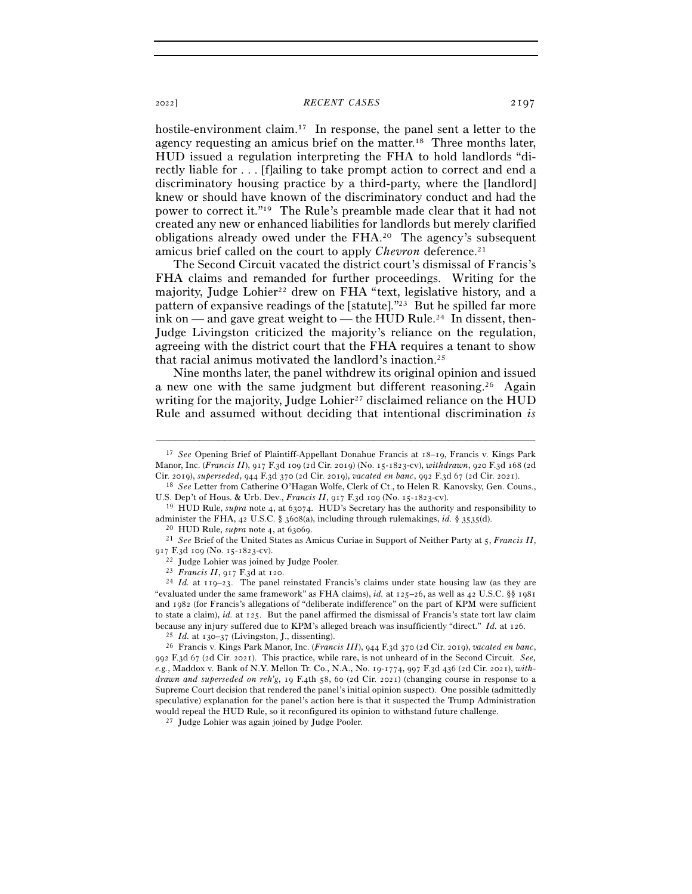### <sup>2022</sup>] *RECENT CASES* 2197

hostile-environment claim.<sup>17</sup> In response, the panel sent a letter to the agency requesting an amicus brief on the matter.18 Three months later, HUD issued a regulation interpreting the FHA to hold landlords "directly liable for . . . [f]ailing to take prompt action to correct and end a discriminatory housing practice by a third-party, where the [landlord] knew or should have known of the discriminatory conduct and had the power to correct it."19 The Rule's preamble made clear that it had not created any new or enhanced liabilities for landlords but merely clarified obligations already owed under the FHA.20 The agency's subsequent amicus brief called on the court to apply *Chevron* deference.<sup>21</sup>

The Second Circuit vacated the district court's dismissal of Francis's FHA claims and remanded for further proceedings. Writing for the majority, Judge Lohier<sup>22</sup> drew on FHA "text, legislative history, and a pattern of expansive readings of the [statute]."23 But he spilled far more ink on — and gave great weight to — the HUD Rule.<sup>24</sup> In dissent, then-Judge Livingston criticized the majority's reliance on the regulation, agreeing with the district court that the FHA requires a tenant to show that racial animus motivated the landlord's inaction.25

Nine months later, the panel withdrew its original opinion and issued a new one with the same judgment but different reasoning.<sup>26</sup> Again writing for the majority, Judge Lohier<sup>27</sup> disclaimed reliance on the HUD Rule and assumed without deciding that intentional discrimination *is*

–––––––––––––––––––––––––––––––––––––––––––––––––––––––––––––

administer the FHA, 42 U.S.C. § 3608(a), including through rulemakings, *id.* § 3535(d).<br><sup>20</sup> HUD Rule, *supra* note 4, at 63069.<br><sup>21</sup> See Brief of the United States as Amicus Curiae in Support of Neither Party at 5, *Fra* 

917 F.3d 109 (No. 15-1823-cv).<br><sup>22</sup> Judge Lohier was joined by Judge Pooler.<br><sup>23</sup> *Francis II*, 917 F.3d at 120.<br><sup>24</sup> *Id.* at 119–23. The panel reinstated Francis's claims under state housing law (as they are "evaluated under the same framework" as FHA claims), *id.* at 125–26, as well as 42 U.S.C. §§ 1981 and 1982 (for Francis's allegations of "deliberate indifference" on the part of KPM were sufficient to state a claim), *id.* at 125. But the panel affirmed the dismissal of Francis's state tort law claim because any injury suffered due to KPM's alleged breach was insufficiently "direct." Id. at 126.<br><sup>25</sup> Id. at 130–37 (Livingston, J., dissenting).<br><sup>26</sup> Francis v. Kings Park Manor, Inc. (*Francis III*), 944 F.3d 370 (2d Ci

992 F.3d 67 (2d Cir. 2021). This practice, while rare, is not unheard of in the Second Circuit. *See, e.g.*, Maddox v. Bank of N.Y. Mellon Tr. Co., N.A., No. 19-1774, 997 F.3d 436 (2d Cir. 2021), *withdrawn and superseded on reh'g*, 19 F.4th 58, 60 (2d Cir. 2021) (changing course in response to a Supreme Court decision that rendered the panel's initial opinion suspect). One possible (admittedly speculative) explanation for the panel's action here is that it suspected the Trump Administration would repeal the HUD Rule, so it reconfigured its opinion to withstand future challenge.  $^{27}\,$  Judge Lohier was again joined by Judge Pooler.

<sup>17</sup> *See* Opening Brief of Plaintiff-Appellant Donahue Francis at 18–19, Francis v. Kings Park Manor, Inc. (*Francis II*), 917 F.3d 109 (2d Cir. 2019) (No. 15-1823-cv), *withdrawn*, 920 F.3d 168 (2d Cir. 2019), *superseded*, 944 F.3d 370 (2d Cir. 2019), *vacated en banc*, 992 F.3d 67 (2d Cir. <sup>2021</sup>). 18 *See* Letter from Catherine O'Hagan Wolfe, Clerk of Ct., to Helen R. Kanovsky, Gen. Couns.,

U.S. Dep't of Hous. & Urb. Dev., *Francis II*, 917 F.3d 109 (No. 15-<sup>1823</sup>-cv). 19 HUD Rule, *supra* note 4, at 63074. HUD's Secretary has the authority and responsibility to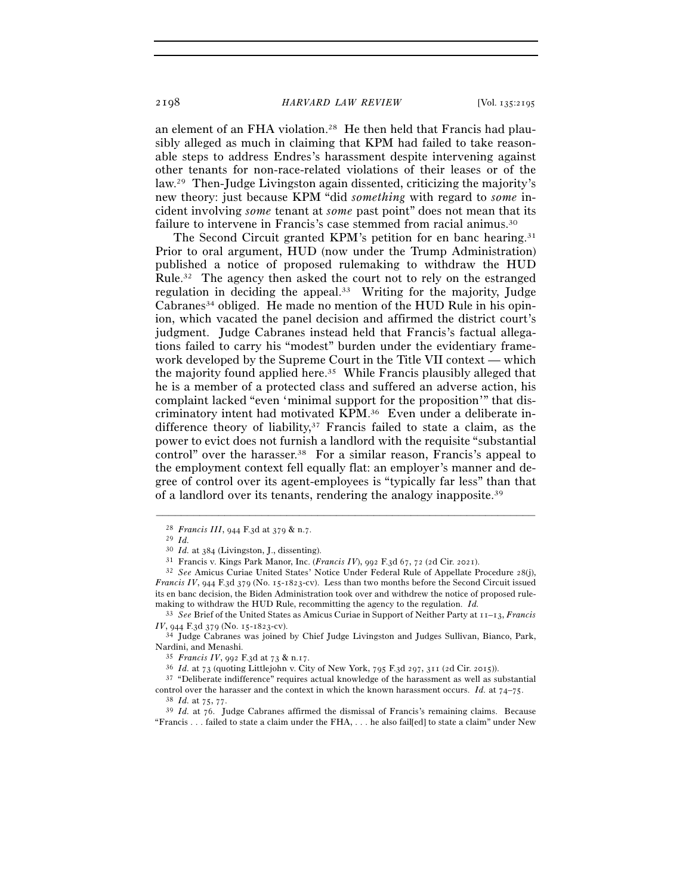2198 *HARVARD LAW REVIEW* [Vol. 135:<sup>2195</sup>

an element of an FHA violation.28 He then held that Francis had plausibly alleged as much in claiming that KPM had failed to take reasonable steps to address Endres's harassment despite intervening against other tenants for non-race-related violations of their leases or of the law.29 Then-Judge Livingston again dissented, criticizing the majority's new theory: just because KPM "did *something* with regard to *some* incident involving *some* tenant at *some* past point" does not mean that its failure to intervene in Francis's case stemmed from racial animus.<sup>30</sup>

The Second Circuit granted KPM's petition for en banc hearing.<sup>31</sup> Prior to oral argument, HUD (now under the Trump Administration) published a notice of proposed rulemaking to withdraw the HUD Rule.32 The agency then asked the court not to rely on the estranged regulation in deciding the appeal.33 Writing for the majority, Judge  $Cabranes<sup>34</sup> obliged.$  He made no mention of the HUD Rule in his opinion, which vacated the panel decision and affirmed the district court's judgment. Judge Cabranes instead held that Francis's factual allegations failed to carry his "modest" burden under the evidentiary framework developed by the Supreme Court in the Title VII context — which the majority found applied here.35 While Francis plausibly alleged that he is a member of a protected class and suffered an adverse action, his complaint lacked "even 'minimal support for the proposition'" that discriminatory intent had motivated KPM.36 Even under a deliberate indifference theory of liability, $37$  Francis failed to state a claim, as the power to evict does not furnish a landlord with the requisite "substantial control" over the harasser.38 For a similar reason, Francis's appeal to the employment context fell equally flat: an employer's manner and degree of control over its agent-employees is "typically far less" than that of a landlord over its tenants, rendering the analogy inapposite.39

–––––––––––––––––––––––––––––––––––––––––––––––––––––––––––––

control over the harasser and the context in which the known harassment occurs. *Id.* at 74–75.<br><sup>38</sup> *Id.* at 75, 77.<br><sup>39</sup> *Id.* at 76. Judge Cabranes affirmed the dismissal of Francis's remaining claims. Because

<sup>28</sup> *Francis III*, 944 F.3d at 379 & n.<sup>7</sup>. 29 *Id.*

<sup>&</sup>lt;sup>31</sup> Francis v. Kings Park Manor, Inc. (*Francis IV*), 992 F.3d 67, 72 (2d Cir. 2021).<br><sup>32</sup> See Amicus Curiae United States' Notice Under Federal Rule of Appellate Procedure 28(j), *Francis IV*, 944 F.3d 379 (No. 15-1823-cv). Less than two months before the Second Circuit issued its en banc decision, the Biden Administration took over and withdrew the notice of proposed rulemaking to withdraw the HUD Rule, recommitting the agency to the regulation. *Id.*

<sup>33</sup> *See* Brief of the United States as Amicus Curiae in Support of Neither Party at 11–13, *Francis IV*, 944 F.3d 379 (No. 15-1823-cv). 34 Judge Cabranes was joined by Chief Judge Livingston and Judges Sullivan, Bianco, Park,

Nardini, and Menashi.<br><sup>35</sup> *Francis IV*, 992 F.3d at 73 & n.17.<br><sup>36</sup> *Id.* at 73 (quoting Littlejohn v. City of New York, 795 F.3d 297, 311 (2d Cir. 2015)).<br><sup>37</sup> "Deliberate indifference" requires actual knowledge of the

<sup>&</sup>quot;Francis . . . failed to state a claim under the FHA, . . . he also fail[ed] to state a claim" under New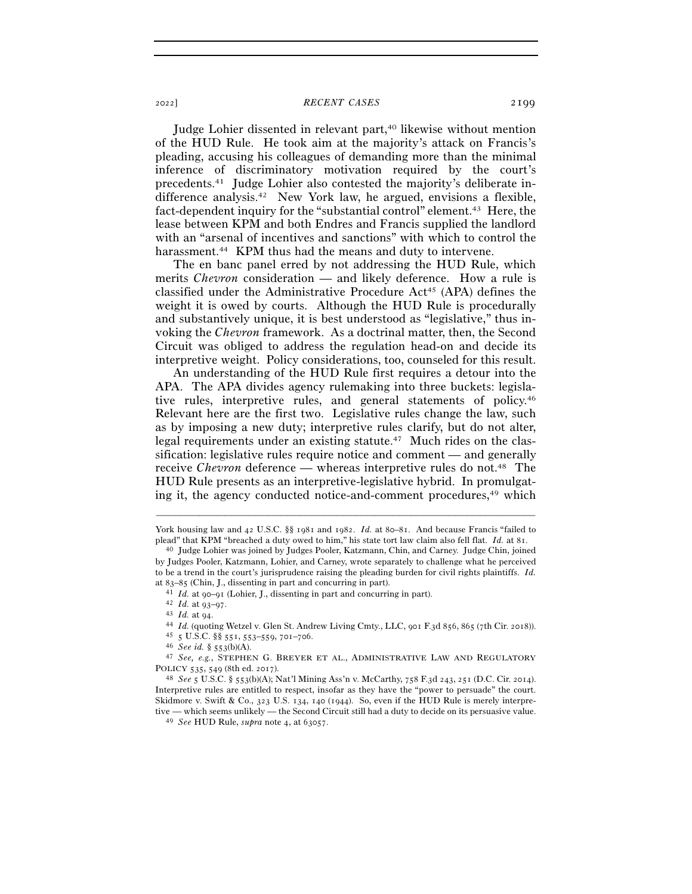#### <sup>2022</sup>] *RECENT CASES* 2199

Judge Lohier dissented in relevant part,<sup>40</sup> likewise without mention of the HUD Rule. He took aim at the majority's attack on Francis's pleading, accusing his colleagues of demanding more than the minimal inference of discriminatory motivation required by the court's precedents.41 Judge Lohier also contested the majority's deliberate indifference analysis.42 New York law, he argued, envisions a flexible, fact-dependent inquiry for the "substantial control" element.<sup>43</sup> Here, the lease between KPM and both Endres and Francis supplied the landlord with an "arsenal of incentives and sanctions" with which to control the harassment.<sup>44</sup> KPM thus had the means and duty to intervene.

The en banc panel erred by not addressing the HUD Rule, which merits *Chevron* consideration — and likely deference. How a rule is classified under the Administrative Procedure  $Act^{45}$  (APA) defines the weight it is owed by courts. Although the HUD Rule is procedurally and substantively unique, it is best understood as "legislative," thus invoking the *Chevron* framework. As a doctrinal matter, then, the Second Circuit was obliged to address the regulation head-on and decide its interpretive weight. Policy considerations, too, counseled for this result.

An understanding of the HUD Rule first requires a detour into the APA. The APA divides agency rulemaking into three buckets: legislative rules, interpretive rules, and general statements of policy.46 Relevant here are the first two. Legislative rules change the law, such as by imposing a new duty; interpretive rules clarify, but do not alter, legal requirements under an existing statute.<sup>47</sup> Much rides on the classification: legislative rules require notice and comment — and generally receive *Chevron* deference — whereas interpretive rules do not.48 The HUD Rule presents as an interpretive-legislative hybrid. In promulgating it, the agency conducted notice-and-comment procedures,49 which

<sup>–––––––––––––––––––––––––––––––––––––––––––––––––––––––––––––</sup> York housing law and 42 U.S.C. §§ 1981 and 1982. *Id.* at 80–81. And because Francis "failed to plead" that KPM "breached a duty owed to him," his state tort law claim also fell flat. *Id.* at <sup>81</sup>. 40 Judge Lohier was joined by Judges Pooler, Katzmann, Chin, and Carney. Judge Chin, joined

by Judges Pooler, Katzmann, Lohier, and Carney, wrote separately to challenge what he perceived to be a trend in the court's jurisprudence raising the pleading burden for civil rights plaintiffs. *Id.*

at 83–85 (Chin, J., dissenting in part and concurring in part).<br>
<sup>41</sup> *Id.* at 90–91 (Lohier, J., dissenting in part and concurring in part).<br>
<sup>42</sup> *Id.* at 93–97.<br>
<sup>43</sup> *Id.* at 94.<br>
<sup>44</sup> *Id.* (quoting Wetzel v. Glen St POLICY <sup>535</sup>, 549 (8th ed. <sup>2017</sup>). 48 *See* <sup>5</sup> U.S.C. § 553(b)(A); Nat'l Mining Ass'n v. McCarthy, 758 F.3d 243, 251 (D.C. Cir. 2014).

Interpretive rules are entitled to respect, insofar as they have the "power to persuade" the court. Skidmore v. Swift & Co., 323 U.S. 134, 140 (1944). So, even if the HUD Rule is merely interpretive — which seems unlikely — the Second Circuit still had a duty to decide on its persuasive value. 49 *See* HUD Rule, *supra* note 4, at 63057.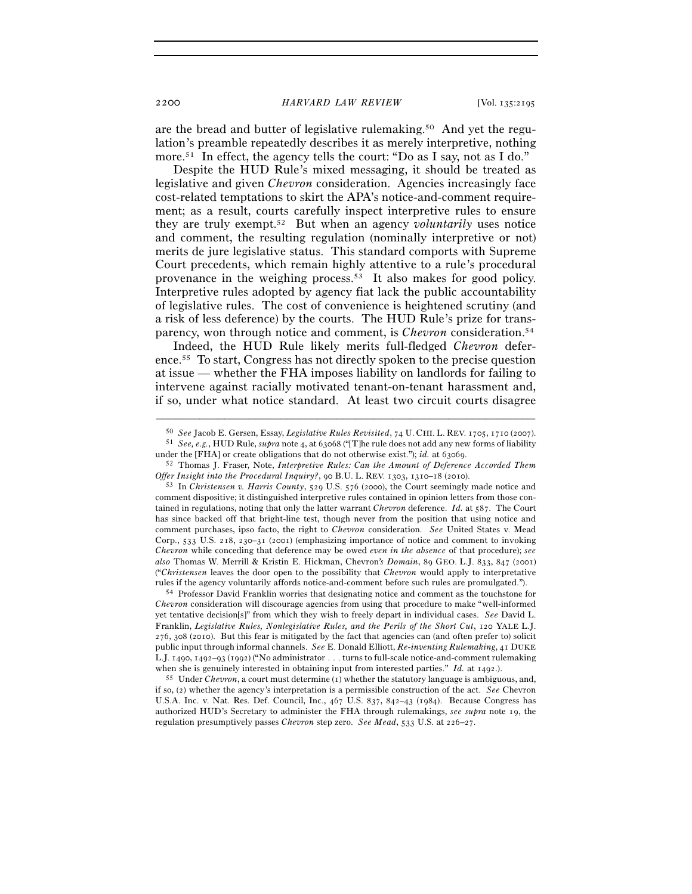2200 *HARVARD LAW REVIEW* [Vol. 135:<sup>2195</sup>

are the bread and butter of legislative rulemaking.50 And yet the regulation's preamble repeatedly describes it as merely interpretive, nothing more.<sup>51</sup> In effect, the agency tells the court: "Do as I say, not as I do."

Despite the HUD Rule's mixed messaging, it should be treated as legislative and given *Chevron* consideration. Agencies increasingly face cost-related temptations to skirt the APA's notice-and-comment requirement; as a result, courts carefully inspect interpretive rules to ensure they are truly exempt.52 But when an agency *voluntarily* uses notice and comment, the resulting regulation (nominally interpretive or not) merits de jure legislative status. This standard comports with Supreme Court precedents, which remain highly attentive to a rule's procedural provenance in the weighing process.53 It also makes for good policy. Interpretive rules adopted by agency fiat lack the public accountability of legislative rules. The cost of convenience is heightened scrutiny (and a risk of less deference) by the courts. The HUD Rule's prize for transparency, won through notice and comment, is *Chevron* consideration.54

Indeed, the HUD Rule likely merits full-fledged *Chevron* deference.55 To start, Congress has not directly spoken to the precise question at issue — whether the FHA imposes liability on landlords for failing to intervene against racially motivated tenant-on-tenant harassment and, if so, under what notice standard. At least two circuit courts disagree

rules if the agency voluntarily affords notice-and-comment before such rules are promulgated."). 54 Professor David Franklin worries that designating notice and comment as the touchstone for *Chevron* consideration will discourage agencies from using that procedure to make "well-informed yet tentative decision[s]" from which they wish to freely depart in individual cases. *See* David L. Franklin, *Legislative Rules, Nonlegislative Rules, and the Perils of the Short Cut*, 120 YALE L.J. 276, 308 (2010). But this fear is mitigated by the fact that agencies can (and often prefer to) solicit public input through informal channels. *See* E. Donald Elliott, *Re-inventing Rulemaking*, 41 DUKE L.J. 1490, 1492–93 (1992) ("No administrator . . . turns to full-scale notice-and-comment rulemaking when she is genuinely interested in obtaining input from interested parties." *Id.* at 1492.).<br><sup>55</sup> Under *Chevron*, a court must determine (1) whether the statutory language is ambiguous, and,

if so, (2) whether the agency's interpretation is a permissible construction of the act. *See* Chevron U.S.A. Inc. v. Nat. Res. Def. Council, Inc., 467 U.S. 837, 842–43 (1984). Because Congress has authorized HUD's Secretary to administer the FHA through rulemakings, *see supra* note 19, the regulation presumptively passes *Chevron* step zero. *See Mead*, 533 U.S. at 226–27.

<sup>–––––––––––––––––––––––––––––––––––––––––––––––––––––––––––––</sup> <sup>50</sup> See Jacob E. Gersen, Essay, *Legislative Rules Revisited*, 74 U. CHI. L. REV. 1705, 1710 (2007).<br><sup>51</sup> See, e.g., HUD Rule, *supra* note 4, at 63068 ("[T]he rule does not add any new forms of liability

under the [FHA] or create obligations that do not otherwise exist."); *id.* at <sup>63069</sup>. 52 Thomas J. Fraser, Note, *Interpretive Rules: Can the Amount of Deference Accorded Them* 

*Offer Insight into the Procedural Inquiry?*, 90 B.U. L. REV. 1303, 1310–18 (2010).<br><sup>53</sup> In *Christensen v. Harris County*, 529 U.S. 576 (2000), the Court seemingly made notice and comment dispositive; it distinguished interpretive rules contained in opinion letters from those contained in regulations, noting that only the latter warrant *Chevron* deference. *Id.* at 587. The Court has since backed off that bright-line test, though never from the position that using notice and comment purchases, ipso facto, the right to *Chevron* consideration. *See* United States v. Mead Corp., 533 U.S. 218, 230–31 (2001) (emphasizing importance of notice and comment to invoking *Chevron* while conceding that deference may be owed *even in the absence* of that procedure); *see also* Thomas W. Merrill & Kristin E. Hickman, Chevron*'s Domain*, 89 GEO. L.J. 833, 847 (2001) ("*Christensen* leaves the door open to the possibility that *Chevron* would apply to interpretative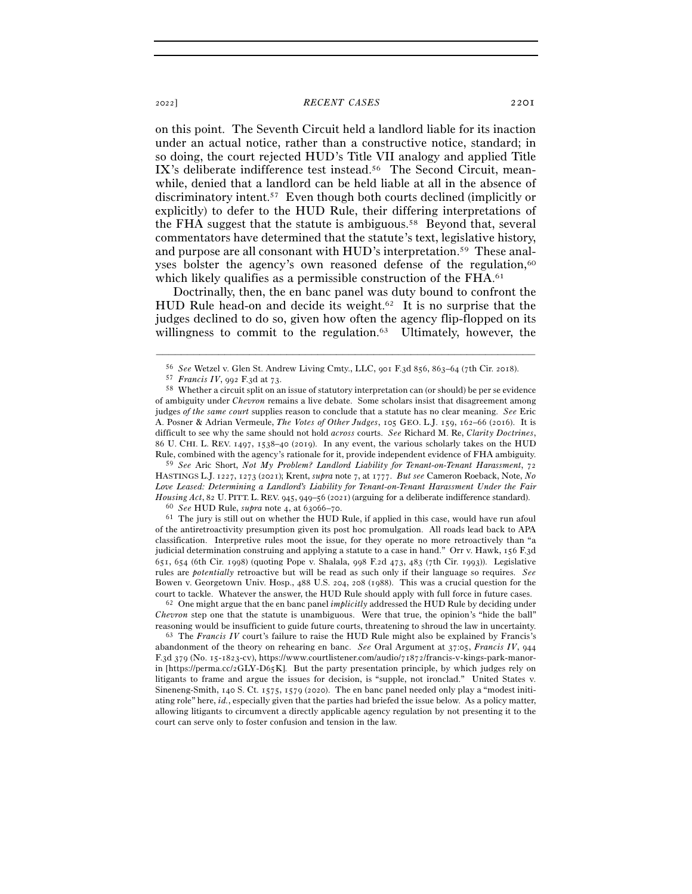## <sup>2022</sup>] *RECENT CASES* 2201

on this point. The Seventh Circuit held a landlord liable for its inaction under an actual notice, rather than a constructive notice, standard; in so doing, the court rejected HUD's Title VII analogy and applied Title IX's deliberate indifference test instead.56 The Second Circuit, meanwhile, denied that a landlord can be held liable at all in the absence of discriminatory intent.57 Even though both courts declined (implicitly or explicitly) to defer to the HUD Rule, their differing interpretations of the FHA suggest that the statute is ambiguous.58 Beyond that, several commentators have determined that the statute's text, legislative history, and purpose are all consonant with HUD's interpretation.59 These analyses bolster the agency's own reasoned defense of the regulation,<sup>60</sup> which likely qualifies as a permissible construction of the FHA.<sup>61</sup>

Doctrinally, then, the en banc panel was duty bound to confront the HUD Rule head-on and decide its weight.<sup>62</sup> It is no surprise that the judges declined to do so, given how often the agency flip-flopped on its willingness to commit to the regulation.<sup>63</sup> Ultimately, however, the

<sup>59</sup> *See* Aric Short, *Not My Problem? Landlord Liability for Tenant-on-Tenant Harassment*, 72 HASTINGS L.J. 1227, 1273 (2021); Krent, *supra* note 7, at 1777. *But see* Cameron Roeback, Note, *No Love Leased: Determining a Landlord's Liability for Tenant-on-Tenant Harassment Under the Fair Housing Act*, 82 U. PITT. L. REV. 945, 949–56 (2021) (arguing for a deliberate indifference standard).<br><sup>60</sup> See HUD Rule, *supra* note 4, at 63066–70.<br><sup>61</sup> The jury is still out on whether the HUD Rule, if applied in thi

of the antiretroactivity presumption given its post hoc promulgation. All roads lead back to APA classification. Interpretive rules moot the issue, for they operate no more retroactively than "a judicial determination construing and applying a statute to a case in hand." Orr v. Hawk, 156 F.3d 651, 654 (6th Cir. 1998) (quoting Pope v. Shalala, 998 F.2d 473, 483 (7th Cir. 1993)). Legislative rules are *potentially* retroactive but will be read as such only if their language so requires. *See* Bowen v. Georgetown Univ. Hosp., 488 U.S. 204, 208 (1988). This was a crucial question for the court to tackle. Whatever the answer, the HUD Rule should apply with full force in future cases. 62 One might argue that the en banc panel *implicitly* addressed the HUD Rule by deciding under

*Chevron* step one that the statute is unambiguous. Were that true, the opinion's "hide the ball" reasoning would be insufficient to guide future courts, threatening to shroud the law in uncertainty. 63 The *Francis IV* court's failure to raise the HUD Rule might also be explained by Francis's

abandonment of the theory on rehearing en banc. *See* Oral Argument at 37:05, *Francis IV*, 944 F.3d 379 (No. 15-1823-cv), https://www.courtlistener.com/audio/71872/francis-v-kings-park-manorin [https://perma.cc/2GLY-D65K]. But the party presentation principle, by which judges rely on litigants to frame and argue the issues for decision, is "supple, not ironclad." United States v. Sineneng-Smith, 140 S. Ct. 1575, 1579 (2020). The en banc panel needed only play a "modest initiating role" here, *id.*, especially given that the parties had briefed the issue below. As a policy matter, allowing litigants to circumvent a directly applicable agency regulation by not presenting it to the court can serve only to foster confusion and tension in the law.

<sup>–––––––––––––––––––––––––––––––––––––––––––––––––––––––––––––</sup>

<sup>% 56</sup> See Wetzel v. Glen St. Andrew Living Cmty., LLC, 901 F.3d 856, 863–64 (7th Cir. 2018).<br>
57 Francis IV, 992 F.3d at 73.<br>
58 Whether a circuit split on an issue of statutory interpretation can (or should) be per se evi of ambiguity under *Chevron* remains a live debate. Some scholars insist that disagreement among judges *of the same court* supplies reason to conclude that a statute has no clear meaning. *See* Eric A. Posner & Adrian Vermeule, *The Votes of Other Judges*, 105 GEO. L.J. 159, 162–66 (2016). It is difficult to see why the same should not hold *across* courts. *See* Richard M. Re, *Clarity Doctrines*, 86 U. CHI. L. REV. 1497, 1538–40 (2019). In any event, the various scholarly takes on the HUD Rule, combined with the agency's rationale for it, provide independent evidence of FHA ambiguity.